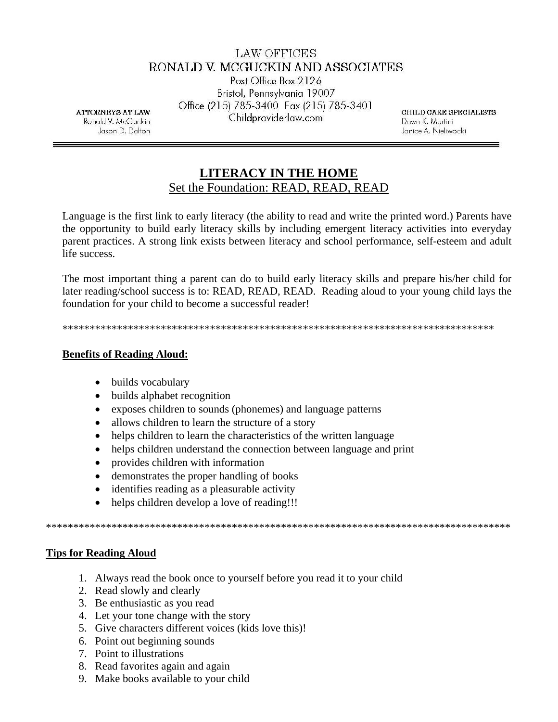# **LAW OFFICES** RONALD V. MCGUCKIN AND ASSOCIATES

Post Office Box 2126 Bristol, Pennsylvania 19007 Office (215) 785-3400 Fax (215) 785-3401 Childproviderlaw.com

**ATTORNEYS AT LAW** Ronald V. McGuckin Jason D. Dalton

CHILD CARE SPECIALISTS Dawn K. Martini Janice A. Nieliwocki

# **LITERACY IN THE HOME** Set the Foundation: READ, READ, READ

Language is the first link to early literacy (the ability to read and write the printed word.) Parents have the opportunity to build early literacy skills by including emergent literacy activities into everyday parent practices. A strong link exists between literacy and school performance, self-esteem and adult life success.

The most important thing a parent can do to build early literacy skills and prepare his/her child for later reading/school success is to: READ, READ, READ. Reading aloud to your young child lays the foundation for your child to become a successful reader!

#### **Benefits of Reading Aloud:**

- builds vocabulary
- builds alphabet recognition
- exposes children to sounds (phonemes) and language patterns
- allows children to learn the structure of a story
- helps children to learn the characteristics of the written language  $\bullet$
- helps children understand the connection between language and print  $\bullet$
- provides children with information  $\bullet$
- demonstrates the proper handling of books  $\bullet$
- identifies reading as a pleasurable activity  $\bullet$
- helps children develop a love of reading!!!

#### **Tips for Reading Aloud**

- 1. Always read the book once to yourself before you read it to your child
- 2. Read slowly and clearly
- 3. Be enthusiastic as you read
- 4. Let your tone change with the story
- 5. Give characters different voices (kids love this)!
- 6. Point out beginning sounds
- 7. Point to illustrations
- 8. Read favorites again and again
- 9. Make books available to your child